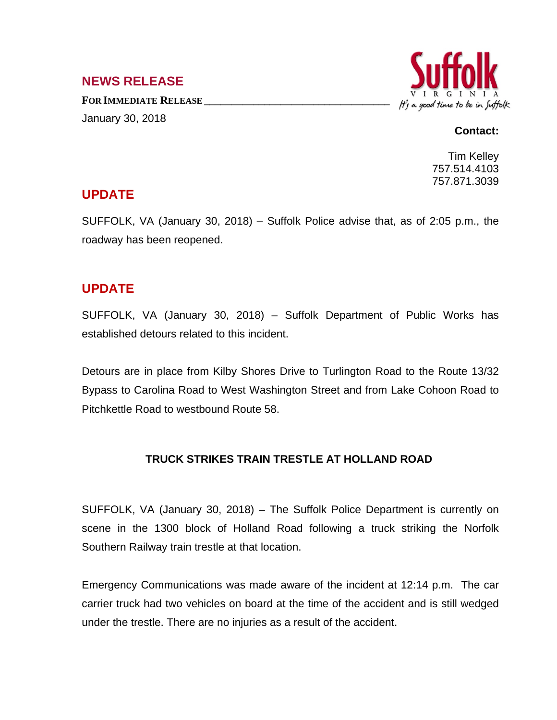### **NEWS RELEASE**

**FOR IMMEDIATE RELEASE \_\_\_\_\_\_\_\_\_\_\_\_\_\_\_\_\_\_\_\_\_\_\_\_\_\_\_\_\_\_\_\_\_\_** January 30, 2018



#### **Contact:**

Tim Kelley 757.514.4103 757.871.3039

# **UPDATE**

SUFFOLK, VA (January 30, 2018) – Suffolk Police advise that, as of 2:05 p.m., the roadway has been reopened.

# **UPDATE**

SUFFOLK, VA (January 30, 2018) – Suffolk Department of Public Works has established detours related to this incident.

Detours are in place from Kilby Shores Drive to Turlington Road to the Route 13/32 Bypass to Carolina Road to West Washington Street and from Lake Cohoon Road to Pitchkettle Road to westbound Route 58.

#### **TRUCK STRIKES TRAIN TRESTLE AT HOLLAND ROAD**

SUFFOLK, VA (January 30, 2018) – The Suffolk Police Department is currently on scene in the 1300 block of Holland Road following a truck striking the Norfolk Southern Railway train trestle at that location.

Emergency Communications was made aware of the incident at 12:14 p.m. The car carrier truck had two vehicles on board at the time of the accident and is still wedged under the trestle. There are no injuries as a result of the accident.